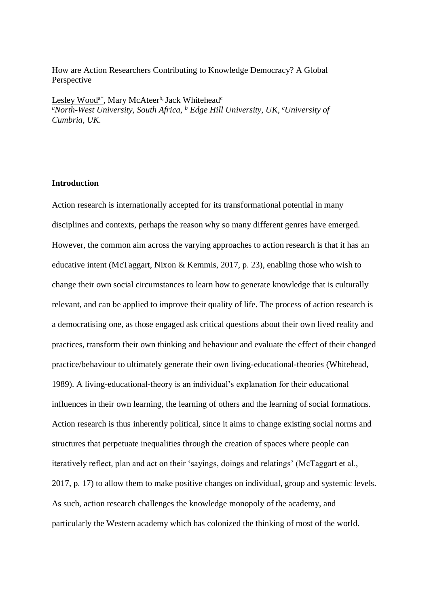How are Action Researchers Contributing to Knowledge Democracy? A Global Perspective

Lesley Wood<sup>a\*</sup>, Mary McAteer<sup>b,</sup> Jack Whitehead<sup>c</sup> *<sup>a</sup>North-West University, South Africa, <sup>b</sup> Edge Hill University, UK, <sup>c</sup>University of Cumbria, UK.*

### **Introduction**

Action research is internationally accepted for its transformational potential in many disciplines and contexts, perhaps the reason why so many different genres have emerged. However, the common aim across the varying approaches to action research is that it has an educative intent (McTaggart, Nixon & Kemmis, 2017, p. 23), enabling those who wish to change their own social circumstances to learn how to generate knowledge that is culturally relevant, and can be applied to improve their quality of life. The process of action research is a democratising one, as those engaged ask critical questions about their own lived reality and practices, transform their own thinking and behaviour and evaluate the effect of their changed practice/behaviour to ultimately generate their own living-educational-theories (Whitehead, 1989). A living-educational-theory is an individual's explanation for their educational influences in their own learning, the learning of others and the learning of social formations. Action research is thus inherently political, since it aims to change existing social norms and structures that perpetuate inequalities through the creation of spaces where people can iteratively reflect, plan and act on their 'sayings, doings and relatings' (McTaggart et al., 2017, p. 17) to allow them to make positive changes on individual, group and systemic levels. As such, action research challenges the knowledge monopoly of the academy, and particularly the Western academy which has colonized the thinking of most of the world.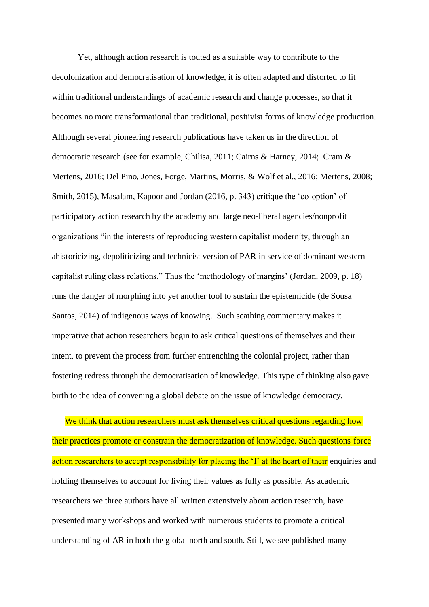Yet, although action research is touted as a suitable way to contribute to the decolonization and democratisation of knowledge, it is often adapted and distorted to fit within traditional understandings of academic research and change processes, so that it becomes no more transformational than traditional, positivist forms of knowledge production. Although several pioneering research publications have taken us in the direction of democratic research (see for example, Chilisa, 2011; Cairns & Harney, 2014; Cram & Mertens, 2016; Del Pino, Jones, Forge, Martins, Morris, & Wolf et al., 2016; Mertens, 2008; Smith, 2015), Masalam, Kapoor and Jordan (2016, p. 343) critique the 'co-option' of participatory action research by the academy and large neo-liberal agencies/nonprofit organizations "in the interests of reproducing western capitalist modernity, through an ahistoricizing, depoliticizing and technicist version of PAR in service of dominant western capitalist ruling class relations." Thus the 'methodology of margins' (Jordan, 2009, p. 18) runs the danger of morphing into yet another tool to sustain the epistemicide (de Sousa Santos, 2014) of indigenous ways of knowing. Such scathing commentary makes it imperative that action researchers begin to ask critical questions of themselves and their intent, to prevent the process from further entrenching the colonial project, rather than fostering redress through the democratisation of knowledge. This type of thinking also gave birth to the idea of convening a global debate on the issue of knowledge democracy.

We think that action researchers must ask themselves critical questions regarding how their practices promote or constrain the democratization of knowledge. Such questions force action researchers to accept responsibility for placing the 'I' at the heart of their enquiries and holding themselves to account for living their values as fully as possible. As academic researchers we three authors have all written extensively about action research, have presented many workshops and worked with numerous students to promote a critical understanding of AR in both the global north and south. Still, we see published many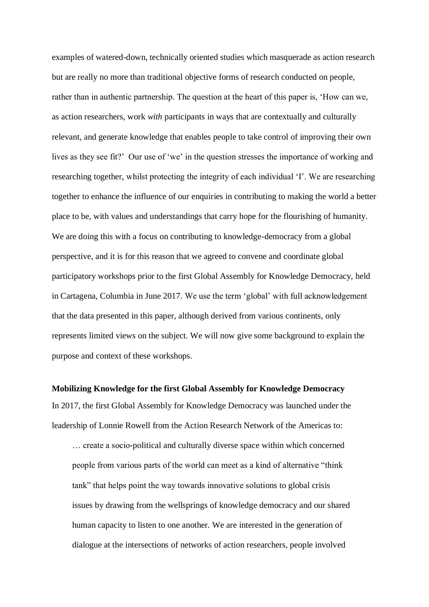examples of watered-down, technically oriented studies which masquerade as action research but are really no more than traditional objective forms of research conducted on people, rather than in authentic partnership. The question at the heart of this paper is, 'How can we, as action researchers, work *with* participants in ways that are contextually and culturally relevant, and generate knowledge that enables people to take control of improving their own lives as they see fit?' Our use of 'we' in the question stresses the importance of working and researching together, whilst protecting the integrity of each individual 'I'. We are researching together to enhance the influence of our enquiries in contributing to making the world a better place to be, with values and understandings that carry hope for the flourishing of humanity. We are doing this with a focus on contributing to knowledge-democracy from a global perspective, and it is for this reason that we agreed to convene and coordinate global participatory workshops prior to the first Global Assembly for Knowledge Democracy, held in Cartagena, Columbia in June 2017. We use the term 'global' with full acknowledgement that the data presented in this paper, although derived from various continents, only represents limited views on the subject. We will now give some background to explain the purpose and context of these workshops.

#### **Mobilizing Knowledge for the first Global Assembly for Knowledge Democracy**

In 2017, the first Global Assembly for Knowledge Democracy was launched under the leadership of Lonnie Rowell from the Action Research Network of the Americas to:

… create a socio-political and culturally diverse space within which concerned people from various parts of the world can meet as a kind of alternative "think tank" that helps point the way towards innovative solutions to global crisis issues by drawing from the wellsprings of knowledge democracy and our shared human capacity to listen to one another. We are interested in the generation of dialogue at the intersections of networks of action researchers, people involved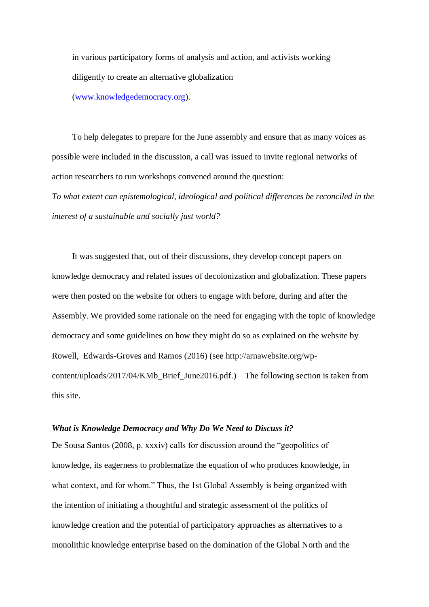in various participatory forms of analysis and action, and activists working diligently to create an alternative globalization

[\(www.knowledgedemocracy.org\)](http://www.knowledgedemocracy.org/).

To help delegates to prepare for the June assembly and ensure that as many voices as possible were included in the discussion, a call was issued to invite regional networks of action researchers to run workshops convened around the question:

*To what extent can epistemological, ideological and political differences be reconciled in the interest of a sustainable and socially just world?* 

It was suggested that, out of their discussions, they develop concept papers on knowledge democracy and related issues of decolonization and globalization. These papers were then posted on the website for others to engage with before, during and after the Assembly. We provided some rationale on the need for engaging with the topic of knowledge democracy and some guidelines on how they might do so as explained on the website by Rowell, Edwards-Groves and Ramos (2016) (see [http://arnawebsite.org/wp](http://arnawebsite.org/wp-content/uploads/2017/04/KMb_Brief_June2016.pdf)[content/uploads/2017/04/KMb\\_Brief\\_June2016.pdf.](http://arnawebsite.org/wp-content/uploads/2017/04/KMb_Brief_June2016.pdf)) The following section is taken from this site.

### *What is Knowledge Democracy and Why Do We Need to Discuss it?*

De Sousa Santos (2008, p. xxxiv) calls for discussion around the "geopolitics of knowledge, its eagerness to problematize the equation of who produces knowledge, in what context, and for whom." Thus, the 1st Global Assembly is being organized with the intention of initiating a thoughtful and strategic assessment of the politics of knowledge creation and the potential of participatory approaches as alternatives to a monolithic knowledge enterprise based on the domination of the Global North and the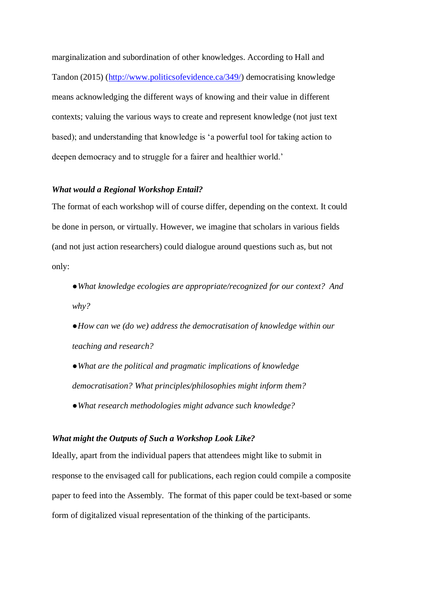marginalization and subordination of other knowledges. According to Hall and Tandon (2015) [\(http://www.politicsofevidence.ca/349/\)](http://www.politicsofevidence.ca/349/) democratising knowledge means acknowledging the different ways of knowing and their value in different contexts; valuing the various ways to create and represent knowledge (not just text based); and understanding that knowledge is 'a powerful tool for taking action to deepen democracy and to struggle for a fairer and healthier world.'

### *What would a Regional Workshop Entail?*

The format of each workshop will of course differ, depending on the context. It could be done in person, or virtually. However, we imagine that scholars in various fields (and not just action researchers) could dialogue around questions such as, but not only:

- ●*What knowledge ecologies are appropriate/recognized for our context? And why?*
- ●*How can we (do we) address the democratisation of knowledge within our teaching and research?*
- ●*What are the political and pragmatic implications of knowledge democratisation? What principles/philosophies might inform them?* ●*What research methodologies might advance such knowledge?*

## *What might the Outputs of Such a Workshop Look Like?*

Ideally, apart from the individual papers that attendees might like to submit in response to the envisaged call for publications, each region could compile a composite paper to feed into the Assembly. The format of this paper could be text-based or some form of digitalized visual representation of the thinking of the participants.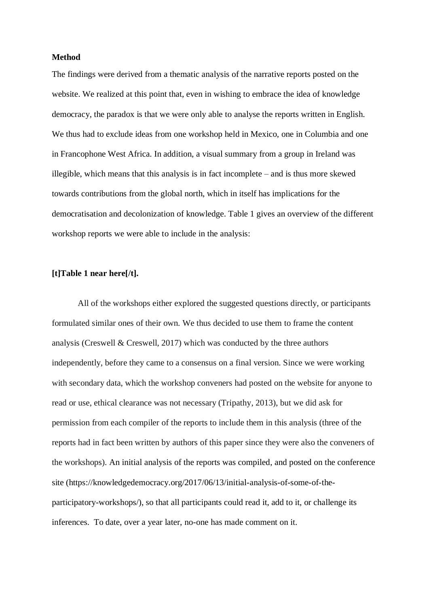#### **Method**

The findings were derived from a thematic analysis of the narrative reports posted on the website. We realized at this point that, even in wishing to embrace the idea of knowledge democracy, the paradox is that we were only able to analyse the reports written in English. We thus had to exclude ideas from one workshop held in Mexico, one in Columbia and one in Francophone West Africa. In addition, a visual summary from a group in Ireland was illegible, which means that this analysis is in fact incomplete – and is thus more skewed towards contributions from the global north, which in itself has implications for the democratisation and decolonization of knowledge. Table 1 gives an overview of the different workshop reports we were able to include in the analysis:

#### **[t]Table 1 near here[/t].**

All of the workshops either explored the suggested questions directly, or participants formulated similar ones of their own. We thus decided to use them to frame the content analysis (Creswell & Creswell, 2017) which was conducted by the three authors independently, before they came to a consensus on a final version. Since we were working with secondary data, which the workshop conveners had posted on the website for anyone to read or use, ethical clearance was not necessary (Tripathy, 2013), but we did ask for permission from each compiler of the reports to include them in this analysis (three of the reports had in fact been written by authors of this paper since they were also the conveners of the workshops). An initial analysis of the reports was compiled, and posted on the conference site (https://knowledgedemocracy.org/2017/06/13/initial-analysis-of-some-of-theparticipatory-workshops/), so that all participants could read it, add to it, or challenge its inferences. To date, over a year later, no-one has made comment on it.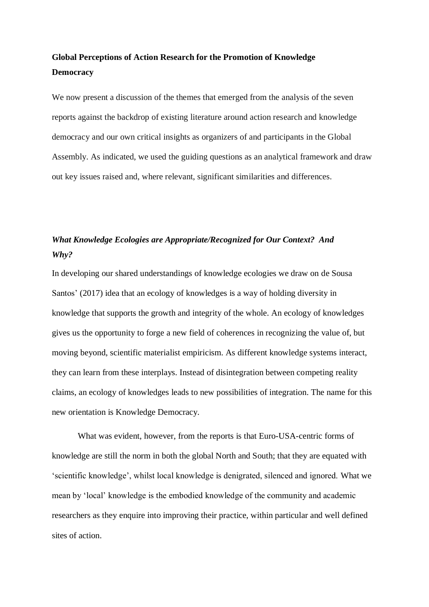# **Global Perceptions of Action Research for the Promotion of Knowledge Democracy**

We now present a discussion of the themes that emerged from the analysis of the seven reports against the backdrop of existing literature around action research and knowledge democracy and our own critical insights as organizers of and participants in the Global Assembly. As indicated, we used the guiding questions as an analytical framework and draw out key issues raised and, where relevant, significant similarities and differences.

# *What Knowledge Ecologies are Appropriate/Recognized for Our Context? And Why?*

In developing our shared understandings of knowledge ecologies we draw on de Sousa Santos' (2017) idea that an ecology of knowledges is a way of holding diversity in knowledge that supports the growth and integrity of the whole. An ecology of knowledges gives us the opportunity to forge a new field of coherences in recognizing the value of, but moving beyond, scientific materialist empiricism. As different knowledge systems interact, they can learn from these interplays. Instead of disintegration between competing reality claims, an ecology of knowledges leads to new possibilities of integration. The name for this new orientation is Knowledge Democracy.

What was evident, however, from the reports is that Euro-USA-centric forms of knowledge are still the norm in both the global North and South; that they are equated with 'scientific knowledge', whilst local knowledge is denigrated, silenced and ignored. What we mean by 'local' knowledge is the embodied knowledge of the community and academic researchers as they enquire into improving their practice, within particular and well defined sites of action.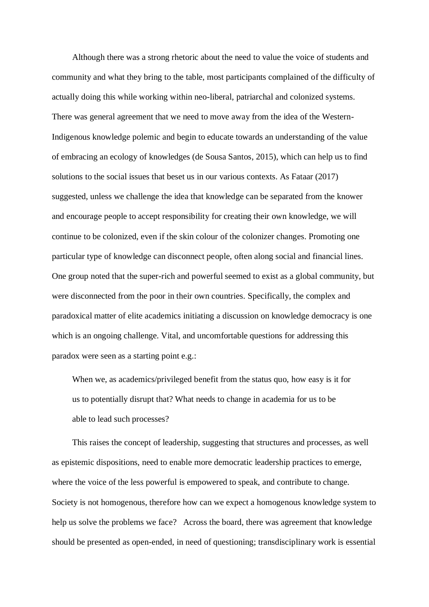Although there was a strong rhetoric about the need to value the voice of students and community and what they bring to the table, most participants complained of the difficulty of actually doing this while working within neo-liberal, patriarchal and colonized systems. There was general agreement that we need to move away from the idea of the Western-Indigenous knowledge polemic and begin to educate towards an understanding of the value of embracing an ecology of knowledges (de Sousa Santos, 2015), which can help us to find solutions to the social issues that beset us in our various contexts. As Fataar (2017) suggested, unless we challenge the idea that knowledge can be separated from the knower and encourage people to accept responsibility for creating their own knowledge, we will continue to be colonized, even if the skin colour of the colonizer changes. Promoting one particular type of knowledge can disconnect people, often along social and financial lines. One group noted that the super-rich and powerful seemed to exist as a global community, but were disconnected from the poor in their own countries. Specifically, the complex and paradoxical matter of elite academics initiating a discussion on knowledge democracy is one which is an ongoing challenge. Vital, and uncomfortable questions for addressing this paradox were seen as a starting point e.g.:

When we, as academics/privileged benefit from the status quo, how easy is it for us to potentially disrupt that? What needs to change in academia for us to be able to lead such processes?

This raises the concept of leadership, suggesting that structures and processes, as well as epistemic dispositions, need to enable more democratic leadership practices to emerge, where the voice of the less powerful is empowered to speak, and contribute to change. Society is not homogenous, therefore how can we expect a homogenous knowledge system to help us solve the problems we face? Across the board, there was agreement that knowledge should be presented as open-ended, in need of questioning; transdisciplinary work is essential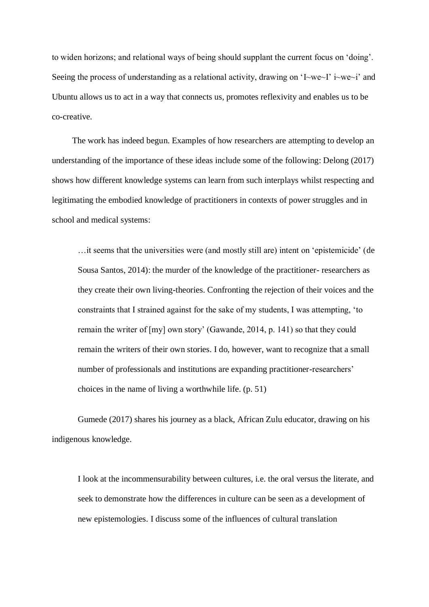to widen horizons; and relational ways of being should supplant the current focus on 'doing'. Seeing the process of understanding as a relational activity, drawing on 'I~we~I' i~we~i' and Ubuntu allows us to act in a way that connects us, promotes reflexivity and enables us to be co-creative.

The work has indeed begun. Examples of how researchers are attempting to develop an understanding of the importance of these ideas include some of the following: Delong (2017) shows how different knowledge systems can learn from such interplays whilst respecting and legitimating the embodied knowledge of practitioners in contexts of power struggles and in school and medical systems:

…it seems that the universities were (and mostly still are) intent on 'epistemicide' (de Sousa Santos, 2014): the murder of the knowledge of the practitioner- researchers as they create their own living-theories. Confronting the rejection of their voices and the constraints that I strained against for the sake of my students, I was attempting, 'to remain the writer of [my] own story' (Gawande, 2014, p. 141) so that they could remain the writers of their own stories. I do, however, want to recognize that a small number of professionals and institutions are expanding practitioner-researchers' choices in the name of living a worthwhile life. (p. 51)

Gumede (2017) shares his journey as a black, African Zulu educator, drawing on his indigenous knowledge.

I look at the incommensurability between cultures, i.e. the oral versus the literate, and seek to demonstrate how the differences in culture can be seen as a development of new epistemologies. I discuss some of the influences of cultural translation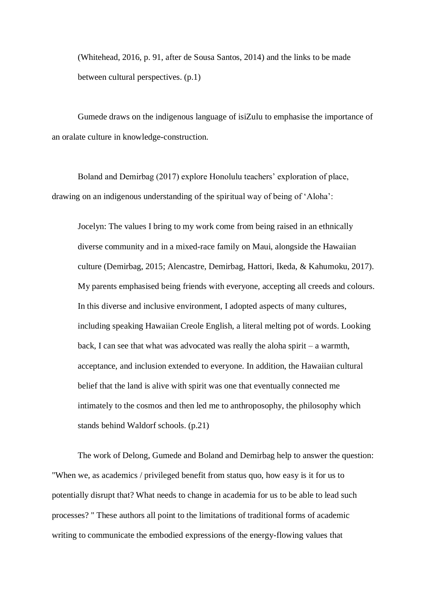(Whitehead, 2016, p. 91, after de Sousa Santos, 2014) and the links to be made between cultural perspectives. (p.1)

Gumede draws on the indigenous language of isiZulu to emphasise the importance of an oralate culture in knowledge-construction.

Boland and Demirbag (2017) explore Honolulu teachers' exploration of place, drawing on an indigenous understanding of the spiritual way of being of 'Aloha':

Jocelyn: The values I bring to my work come from being raised in an ethnically diverse community and in a mixed-race family on Maui, alongside the Hawaiian culture (Demirbag, 2015; Alencastre, Demirbag, Hattori, Ikeda, & Kahumoku, 2017). My parents emphasised being friends with everyone, accepting all creeds and colours. In this diverse and inclusive environment, I adopted aspects of many cultures, including speaking Hawaiian Creole English, a literal melting pot of words. Looking back, I can see that what was advocated was really the aloha spirit – a warmth, acceptance, and inclusion extended to everyone. In addition, the Hawaiian cultural belief that the land is alive with spirit was one that eventually connected me intimately to the cosmos and then led me to anthroposophy, the philosophy which stands behind Waldorf schools. (p.21)

The work of Delong, Gumede and Boland and Demirbag help to answer the question: "When we, as academics / privileged benefit from status quo, how easy is it for us to potentially disrupt that? What needs to change in academia for us to be able to lead such processes? " These authors all point to the limitations of traditional forms of academic writing to communicate the embodied expressions of the energy-flowing values that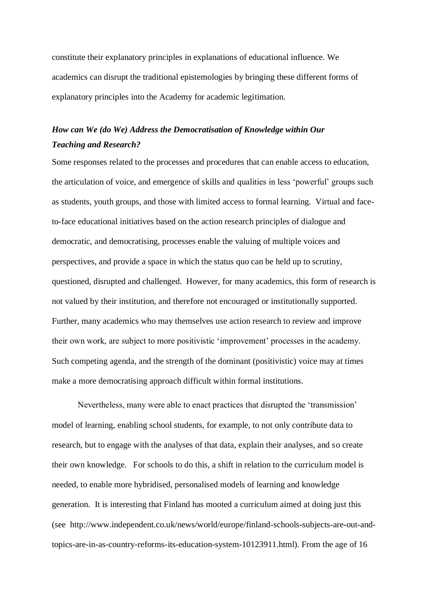constitute their explanatory principles in explanations of educational influence. We academics can disrupt the traditional epistemologies by bringing these different forms of explanatory principles into the Academy for academic legitimation.

# *How can We (do We) Address the Democratisation of Knowledge within Our Teaching and Research?*

Some responses related to the processes and procedures that can enable access to education, the articulation of voice, and emergence of skills and qualities in less 'powerful' groups such as students, youth groups, and those with limited access to formal learning. Virtual and faceto-face educational initiatives based on the action research principles of dialogue and democratic, and democratising, processes enable the valuing of multiple voices and perspectives, and provide a space in which the status quo can be held up to scrutiny, questioned, disrupted and challenged. However, for many academics, this form of research is not valued by their institution, and therefore not encouraged or institutionally supported. Further, many academics who may themselves use action research to review and improve their own work, are subject to more positivistic 'improvement' processes in the academy. Such competing agenda, and the strength of the dominant (positivistic) voice may at times make a more democratising approach difficult within formal institutions.

Nevertheless, many were able to enact practices that disrupted the 'transmission' model of learning, enabling school students, for example, to not only contribute data to research, but to engage with the analyses of that data, explain their analyses, and so create their own knowledge. For schools to do this, a shift in relation to the curriculum model is needed, to enable more hybridised, personalised models of learning and knowledge generation. It is interesting that Finland has mooted a curriculum aimed at doing just this (see http://www.independent.co.uk/news/world/europe/finland-schools-subjects-are-out-andtopics-are-in-as-country-reforms-its-education-system-10123911.html). From the age of 16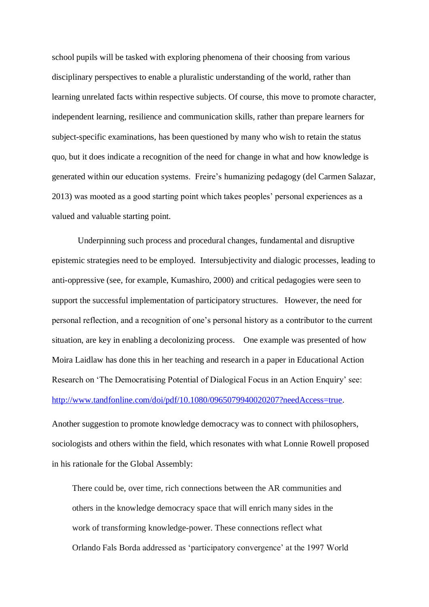school pupils will be tasked with exploring phenomena of their choosing from various disciplinary perspectives to enable a pluralistic understanding of the world, rather than learning unrelated facts within respective subjects. Of course, this move to promote character, independent learning, resilience and communication skills, rather than prepare learners for subject-specific examinations, has been questioned by many who wish to retain the status quo, but it does indicate a recognition of the need for change in what and how knowledge is generated within our education systems. Freire's humanizing pedagogy (del Carmen Salazar, 2013) was mooted as a good starting point which takes peoples' personal experiences as a valued and valuable starting point.

Underpinning such process and procedural changes, fundamental and disruptive epistemic strategies need to be employed. Intersubjectivity and dialogic processes, leading to anti-oppressive (see, for example, Kumashiro, 2000) and critical pedagogies were seen to support the successful implementation of participatory structures. However, the need for personal reflection, and a recognition of one's personal history as a contributor to the current situation, are key in enabling a decolonizing process. One example was presented of how Moira Laidlaw has done this in her teaching and research in a paper in Educational Action Research on 'The Democratising Potential of Dialogical Focus in an Action Enquiry' see: [http://www.tandfonline.com/doi/pdf/10.1080/0965079940020207?needAccess=true.](http://www.tandfonline.com/doi/pdf/10.1080/0965079940020207?needAccess=true)

Another suggestion to promote knowledge democracy was to connect with philosophers, sociologists and others within the field, which resonates with what Lonnie Rowell proposed in his rationale for the Global Assembly:

There could be, over time, rich connections between the AR communities and others in the knowledge democracy space that will enrich many sides in the work of transforming knowledge-power. These connections reflect what Orlando Fals Borda addressed as 'participatory convergence' at the 1997 World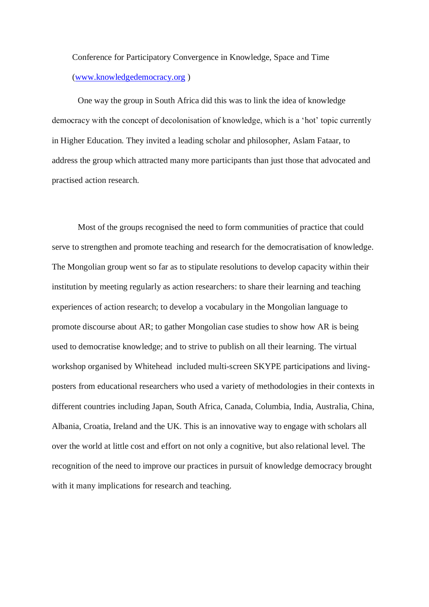Conference for Participatory Convergence in Knowledge, Space and Time [\(www.knowledgedemocracy.org](http://www.knowledgedemocracy.org/) )

One way the group in South Africa did this was to link the idea of knowledge democracy with the concept of decolonisation of knowledge, which is a 'hot' topic currently in Higher Education. They invited a leading scholar and philosopher, Aslam Fataar, to address the group which attracted many more participants than just those that advocated and practised action research.

Most of the groups recognised the need to form communities of practice that could serve to strengthen and promote teaching and research for the democratisation of knowledge. The Mongolian group went so far as to stipulate resolutions to develop capacity within their institution by meeting regularly as action researchers: to share their learning and teaching experiences of action research; to develop a vocabulary in the Mongolian language to promote discourse about AR; to gather Mongolian case studies to show how AR is being used to democratise knowledge; and to strive to publish on all their learning. The virtual workshop organised by Whitehead included multi-screen SKYPE participations and livingposters from educational researchers who used a variety of methodologies in their contexts in different countries including Japan, South Africa, Canada, Columbia, India, Australia, China, Albania, Croatia, Ireland and the UK. This is an innovative way to engage with scholars all over the world at little cost and effort on not only a cognitive, but also relational level. The recognition of the need to improve our practices in pursuit of knowledge democracy brought with it many implications for research and teaching.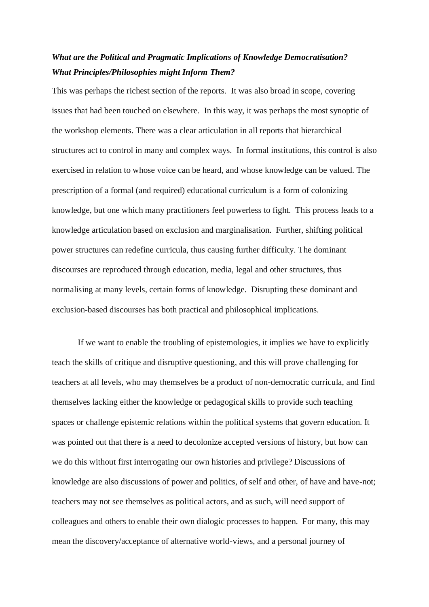# *What are the Political and Pragmatic Implications of Knowledge Democratisation? What Principles/Philosophies might Inform Them?*

This was perhaps the richest section of the reports. It was also broad in scope, covering issues that had been touched on elsewhere. In this way, it was perhaps the most synoptic of the workshop elements. There was a clear articulation in all reports that hierarchical structures act to control in many and complex ways. In formal institutions, this control is also exercised in relation to whose voice can be heard, and whose knowledge can be valued. The prescription of a formal (and required) educational curriculum is a form of colonizing knowledge, but one which many practitioners feel powerless to fight. This process leads to a knowledge articulation based on exclusion and marginalisation. Further, shifting political power structures can redefine curricula, thus causing further difficulty. The dominant discourses are reproduced through education, media, legal and other structures, thus normalising at many levels, certain forms of knowledge. Disrupting these dominant and exclusion-based discourses has both practical and philosophical implications.

If we want to enable the troubling of epistemologies, it implies we have to explicitly teach the skills of critique and disruptive questioning, and this will prove challenging for teachers at all levels, who may themselves be a product of non-democratic curricula, and find themselves lacking either the knowledge or pedagogical skills to provide such teaching spaces or challenge epistemic relations within the political systems that govern education. It was pointed out that there is a need to decolonize accepted versions of history, but how can we do this without first interrogating our own histories and privilege? Discussions of knowledge are also discussions of power and politics, of self and other, of have and have-not; teachers may not see themselves as political actors, and as such, will need support of colleagues and others to enable their own dialogic processes to happen. For many, this may mean the discovery/acceptance of alternative world-views, and a personal journey of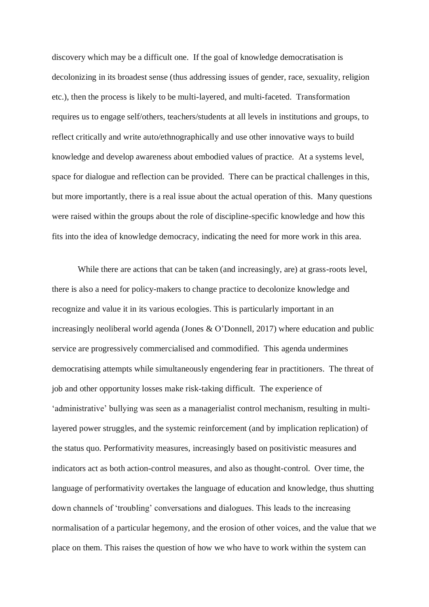discovery which may be a difficult one. If the goal of knowledge democratisation is decolonizing in its broadest sense (thus addressing issues of gender, race, sexuality, religion etc.), then the process is likely to be multi-layered, and multi-faceted. Transformation requires us to engage self/others, teachers/students at all levels in institutions and groups, to reflect critically and write auto/ethnographically and use other innovative ways to build knowledge and develop awareness about embodied values of practice. At a systems level, space for dialogue and reflection can be provided. There can be practical challenges in this, but more importantly, there is a real issue about the actual operation of this. Many questions were raised within the groups about the role of discipline-specific knowledge and how this fits into the idea of knowledge democracy, indicating the need for more work in this area.

While there are actions that can be taken (and increasingly, are) at grass-roots level, there is also a need for policy-makers to change practice to decolonize knowledge and recognize and value it in its various ecologies. This is particularly important in an increasingly neoliberal world agenda (Jones & O'Donnell, 2017) where education and public service are progressively commercialised and commodified. This agenda undermines democratising attempts while simultaneously engendering fear in practitioners. The threat of job and other opportunity losses make risk-taking difficult. The experience of 'administrative' bullying was seen as a managerialist control mechanism, resulting in multilayered power struggles, and the systemic reinforcement (and by implication replication) of the status quo. Performativity measures, increasingly based on positivistic measures and indicators act as both action-control measures, and also as thought-control. Over time, the language of performativity overtakes the language of education and knowledge, thus shutting down channels of 'troubling' conversations and dialogues. This leads to the increasing normalisation of a particular hegemony, and the erosion of other voices, and the value that we place on them. This raises the question of how we who have to work within the system can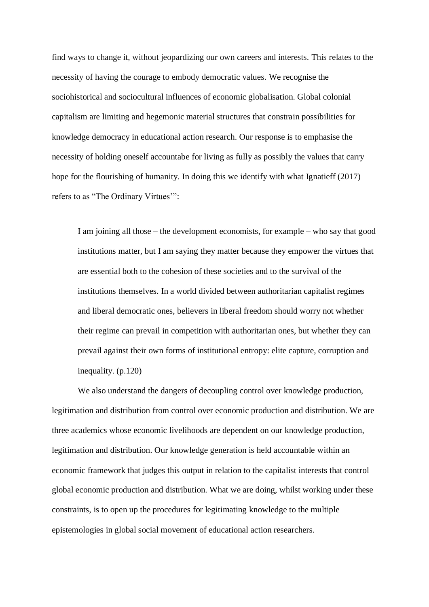find ways to change it, without jeopardizing our own careers and interests. This relates to the necessity of having the courage to embody democratic values. We recognise the sociohistorical and sociocultural influences of economic globalisation. Global colonial capitalism are limiting and hegemonic material structures that constrain possibilities for knowledge democracy in educational action research. Our response is to emphasise the necessity of holding oneself accountabe for living as fully as possibly the values that carry hope for the flourishing of humanity. In doing this we identify with what Ignatieff (2017) refers to as "The Ordinary Virtues'":

I am joining all those – the development economists, for example – who say that good institutions matter, but I am saying they matter because they empower the virtues that are essential both to the cohesion of these societies and to the survival of the institutions themselves. In a world divided between authoritarian capitalist regimes and liberal democratic ones, believers in liberal freedom should worry not whether their regime can prevail in competition with authoritarian ones, but whether they can prevail against their own forms of institutional entropy: elite capture, corruption and inequality. (p.120)

We also understand the dangers of decoupling control over knowledge production, legitimation and distribution from control over economic production and distribution. We are three academics whose economic livelihoods are dependent on our knowledge production, legitimation and distribution. Our knowledge generation is held accountable within an economic framework that judges this output in relation to the capitalist interests that control global economic production and distribution. What we are doing, whilst working under these constraints, is to open up the procedures for legitimating knowledge to the multiple epistemologies in global social movement of educational action researchers.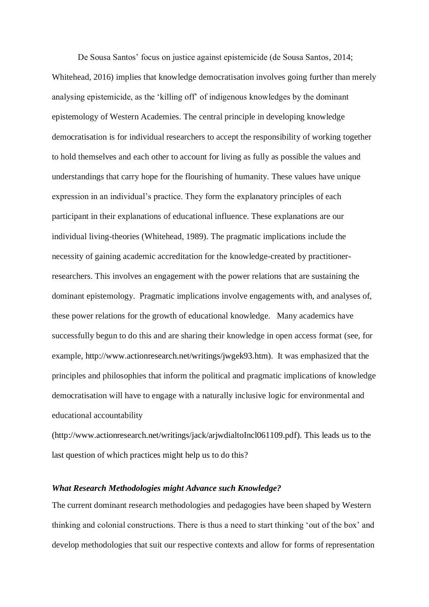De Sousa Santos' focus on justice against epistemicide (de Sousa Santos, 2014; Whitehead, 2016) implies that knowledge democratisation involves going further than merely analysing epistemicide, as the 'killing off' of indigenous knowledges by the dominant epistemology of Western Academies. The central principle in developing knowledge democratisation is for individual researchers to accept the responsibility of working together to hold themselves and each other to account for living as fully as possible the values and understandings that carry hope for the flourishing of humanity. These values have unique expression in an individual's practice. They form the explanatory principles of each participant in their explanations of educational influence. These explanations are our individual living-theories (Whitehead, 1989). The pragmatic implications include the necessity of gaining academic accreditation for the knowledge-created by practitionerresearchers. This involves an engagement with the power relations that are sustaining the dominant epistemology. Pragmatic implications involve engagements with, and analyses of, these power relations for the growth of educational knowledge. Many academics have successfully begun to do this and are sharing their knowledge in open access format (see, for example, [http://www.actionresearch.net/writings/jwgek93.htm\)](http://www.actionresearch.net/writings/jwgek93.htm). It was emphasized that the principles and philosophies that inform the political and pragmatic implications of knowledge democratisation will have to engage with a naturally inclusive logic for environmental and educational accountability

[\(http://www.actionresearch.net/writings/jack/arjwdialtoIncl061109.pdf\)](http://www.actionresearch.net/writings/jack/arjwdialtoIncl061109.pdf). This leads us to the last question of which practices might help us to do this?

## *What Research Methodologies might Advance such Knowledge?*

The current dominant research methodologies and pedagogies have been shaped by Western thinking and colonial constructions. There is thus a need to start thinking 'out of the box' and develop methodologies that suit our respective contexts and allow for forms of representation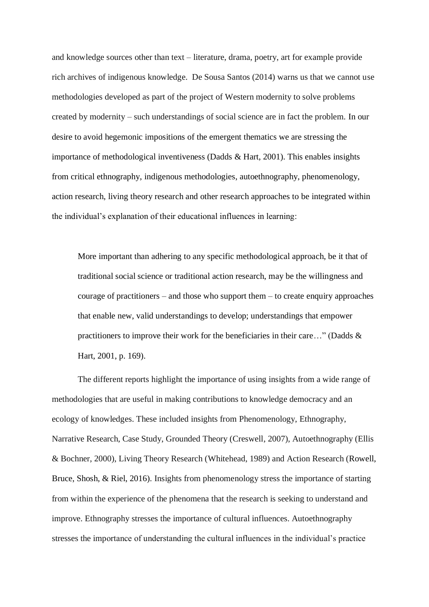and knowledge sources other than text – literature, drama, poetry, art for example provide rich archives of indigenous knowledge. De Sousa Santos (2014) warns us that we cannot use methodologies developed as part of the project of Western modernity to solve problems created by modernity – such understandings of social science are in fact the problem. In our desire to avoid hegemonic impositions of the emergent thematics we are stressing the importance of methodological inventiveness (Dadds & Hart, 2001). This enables insights from critical ethnography, indigenous methodologies, autoethnography, phenomenology, action research, living theory research and other research approaches to be integrated within the individual's explanation of their educational influences in learning:

More important than adhering to any specific methodological approach, be it that of traditional social science or traditional action research, may be the willingness and courage of practitioners – and those who support them – to create enquiry approaches that enable new, valid understandings to develop; understandings that empower practitioners to improve their work for the beneficiaries in their care…" (Dadds & Hart, 2001, p. 169).

The different reports highlight the importance of using insights from a wide range of methodologies that are useful in making contributions to knowledge democracy and an ecology of knowledges. These included insights from Phenomenology, Ethnography, Narrative Research, Case Study, Grounded Theory (Creswell, 2007), Autoethnography (Ellis & Bochner, 2000), Living Theory Research (Whitehead, 1989) and Action Research (Rowell, Bruce, Shosh, & Riel, 2016). Insights from phenomenology stress the importance of starting from within the experience of the phenomena that the research is seeking to understand and improve. Ethnography stresses the importance of cultural influences. Autoethnography stresses the importance of understanding the cultural influences in the individual's practice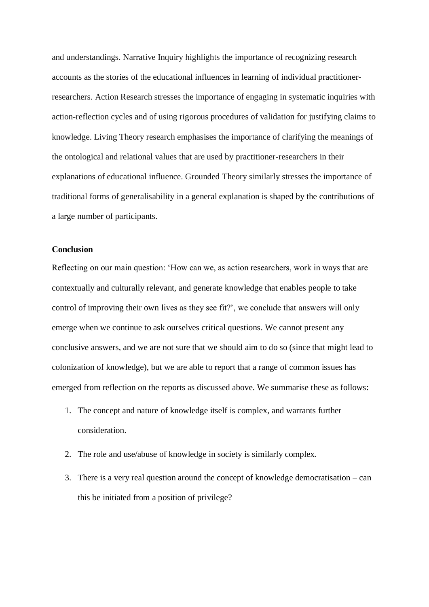and understandings. Narrative Inquiry highlights the importance of recognizing research accounts as the stories of the educational influences in learning of individual practitionerresearchers. Action Research stresses the importance of engaging in systematic inquiries with action-reflection cycles and of using rigorous procedures of validation for justifying claims to knowledge. Living Theory research emphasises the importance of clarifying the meanings of the ontological and relational values that are used by practitioner-researchers in their explanations of educational influence. Grounded Theory similarly stresses the importance of traditional forms of generalisability in a general explanation is shaped by the contributions of a large number of participants.

### **Conclusion**

Reflecting on our main question: 'How can we, as action researchers, work in ways that are contextually and culturally relevant, and generate knowledge that enables people to take control of improving their own lives as they see fit?', we conclude that answers will only emerge when we continue to ask ourselves critical questions. We cannot present any conclusive answers, and we are not sure that we should aim to do so (since that might lead to colonization of knowledge), but we are able to report that a range of common issues has emerged from reflection on the reports as discussed above. We summarise these as follows:

- 1. The concept and nature of knowledge itself is complex, and warrants further consideration.
- 2. The role and use/abuse of knowledge in society is similarly complex.
- 3. There is a very real question around the concept of knowledge democratisation can this be initiated from a position of privilege?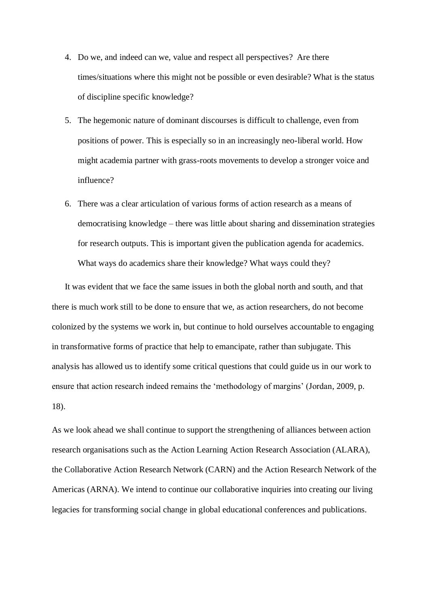- 4. Do we, and indeed can we, value and respect all perspectives? Are there times/situations where this might not be possible or even desirable? What is the status of discipline specific knowledge?
- 5. The hegemonic nature of dominant discourses is difficult to challenge, even from positions of power. This is especially so in an increasingly neo-liberal world. How might academia partner with grass-roots movements to develop a stronger voice and influence?
- 6. There was a clear articulation of various forms of action research as a means of democratising knowledge – there was little about sharing and dissemination strategies for research outputs. This is important given the publication agenda for academics. What ways do academics share their knowledge? What ways could they?

It was evident that we face the same issues in both the global north and south, and that there is much work still to be done to ensure that we, as action researchers, do not become colonized by the systems we work in, but continue to hold ourselves accountable to engaging in transformative forms of practice that help to emancipate, rather than subjugate. This analysis has allowed us to identify some critical questions that could guide us in our work to ensure that action research indeed remains the 'methodology of margins' (Jordan, 2009, p. 18).

As we look ahead we shall continue to support the strengthening of alliances between action research organisations such as the Action Learning Action Research Association (ALARA), the Collaborative Action Research Network (CARN) and the Action Research Network of the Americas (ARNA). We intend to continue our collaborative inquiries into creating our living legacies for transforming social change in global educational conferences and publications.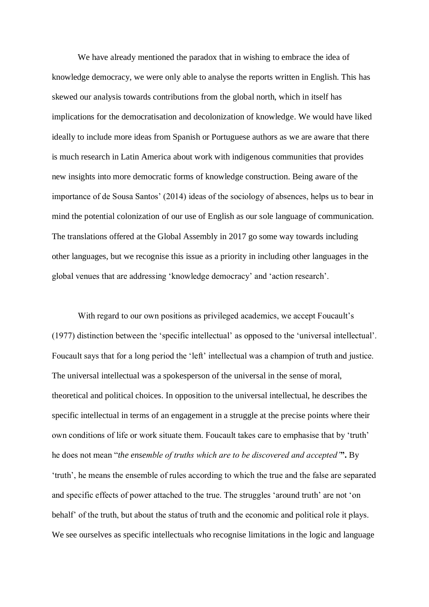We have already mentioned the paradox that in wishing to embrace the idea of knowledge democracy, we were only able to analyse the reports written in English. This has skewed our analysis towards contributions from the global north, which in itself has implications for the democratisation and decolonization of knowledge. We would have liked ideally to include more ideas from Spanish or Portuguese authors as we are aware that there is much research in Latin America about work with indigenous communities that provides new insights into more democratic forms of knowledge construction. Being aware of the importance of de Sousa Santos' (2014) ideas of the sociology of absences, helps us to bear in mind the potential colonization of our use of English as our sole language of communication. The translations offered at the Global Assembly in 2017 go some way towards including other languages, but we recognise this issue as a priority in including other languages in the global venues that are addressing 'knowledge democracy' and 'action research'.

With regard to our own positions as privileged academics, we accept Foucault's (1977) distinction between the 'specific intellectual' as opposed to the 'universal intellectual'. Foucault says that for a long period the 'left' intellectual was a champion of truth and justice. The universal intellectual was a spokesperson of the universal in the sense of moral, theoretical and political choices. In opposition to the universal intellectual, he describes the specific intellectual in terms of an engagement in a struggle at the precise points where their own conditions of life or work situate them. Foucault takes care to emphasise that by 'truth' he does not mean "*the ensemble of truths which are to be discovered and accepted'***".** By 'truth', he means the ensemble of rules according to which the true and the false are separated and specific effects of power attached to the true. The struggles 'around truth' are not 'on behalf' of the truth, but about the status of truth and the economic and political role it plays. We see ourselves as specific intellectuals who recognise limitations in the logic and language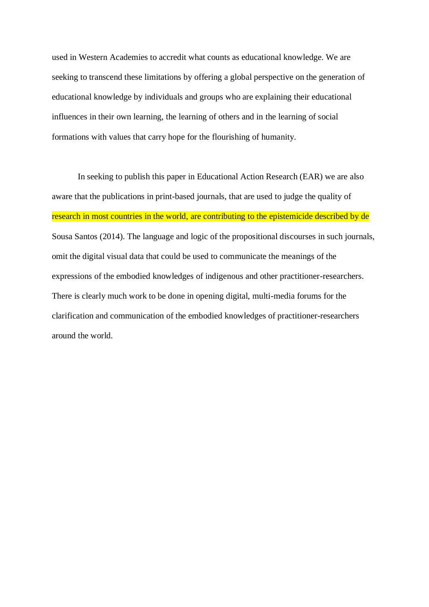used in Western Academies to accredit what counts as educational knowledge. We are seeking to transcend these limitations by offering a global perspective on the generation of educational knowledge by individuals and groups who are explaining their educational influences in their own learning, the learning of others and in the learning of social formations with values that carry hope for the flourishing of humanity.

In seeking to publish this paper in Educational Action Research (EAR) we are also aware that the publications in print-based journals, that are used to judge the quality of research in most countries in the world, are contributing to the epistemicide described by de Sousa Santos (2014). The language and logic of the propositional discourses in such journals, omit the digital visual data that could be used to communicate the meanings of the expressions of the embodied knowledges of indigenous and other practitioner-researchers. There is clearly much work to be done in opening digital, multi-media forums for the clarification and communication of the embodied knowledges of practitioner-researchers around the world.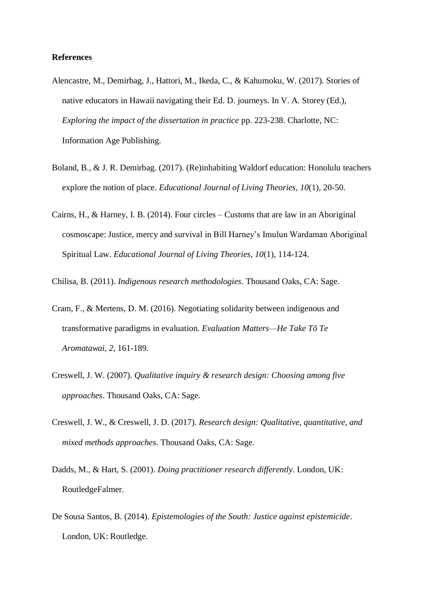#### **References**

- Alencastre, M., Demirbag, J., Hattori, M., Ikeda, C., & Kahumoku, W. (2017). Stories of native educators in Hawaii navigating their Ed. D. journeys. In V. A. Storey (Ed.), *Exploring the impact of the dissertation in practice* pp. 223-238. Charlotte, NC: Information Age Publishing.
- Boland, B., & J. R. Demirbag. (2017). (Re)inhabiting Waldorf education: Honolulu teachers explore the notion of place. *Educational Journal of Living Theories, 10*(1), 20-50.
- Cairns, H., & Harney, I. B. (2014). Four circles Customs that are law in an Aboriginal cosmoscape: Justice, mercy and survival in Bill Harney's Imulun Wardaman Aboriginal Spiritual Law. *Educational Journal of Living Theories, 10*(1), 114-124.

Chilisa, B. (2011). *Indigenous research methodologies*. Thousand Oaks, CA: Sage.

- Cram, F., & Mertens, D. M. (2016). Negotiating solidarity between indigenous and transformative paradigms in evaluation. *Evaluation Matters—He Take Tõ Te Aromatawai, 2*, 161-189.
- Creswell, J. W. (2007). *Qualitative inquiry & research design: Choosing among five approaches*. Thousand Oaks, CA: Sage.
- Creswell, J. W., & Creswell, J. D. (2017). *Research design: Qualitative, quantitative, and mixed methods approaches*. Thousand Oaks, CA: Sage.
- Dadds, M., & Hart, S. (2001). *Doing practitioner research differently*. London, UK: RoutledgeFalmer.
- De Sousa Santos, B. (2014). *Epistemologies of the South: Justice against epistemicide*. London, UK: Routledge.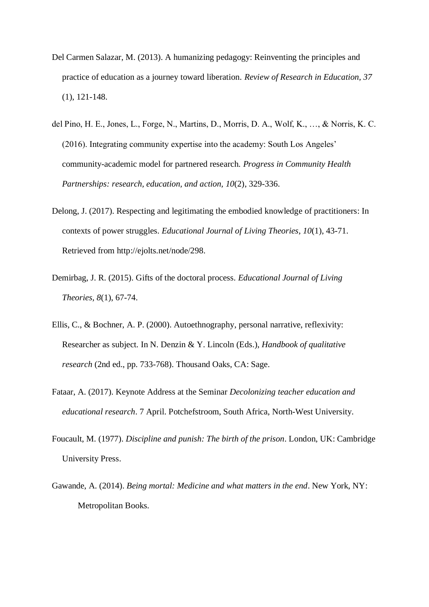- Del Carmen Salazar, M. (2013). A humanizing pedagogy: Reinventing the principles and practice of education as a journey toward liberation. *Review of Research in Education, 37* (1), 121-148.
- del Pino, H. E., Jones, L., Forge, N., Martins, D., Morris, D. A., Wolf, K., …, & Norris, K. C. (2016). Integrating community expertise into the academy: South Los Angeles' community-academic model for partnered research. *Progress in Community Health Partnerships: research, education, and action, 10*(2), 329-336.
- Delong, J. (2017). Respecting and legitimating the embodied knowledge of practitioners: In contexts of power struggles. *Educational Journal of Living Theories*, *10*(1), 43-71. Retrieved from [http://ejolts.net/node/298.](http://ejolts.net/node/298)
- Demirbag, J. R. (2015). Gifts of the doctoral process. *Educational Journal of Living Theories, 8*(1), 67-74.
- Ellis, C., & Bochner, A. P. (2000). Autoethnography, personal narrative, reflexivity: Researcher as subject. In N. Denzin & Y. Lincoln (Eds.), *Handbook of qualitative research* (2nd ed., pp. 733-768). Thousand Oaks, CA: Sage.
- Fataar, A. (2017). Keynote Address at the Seminar *Decolonizing teacher education and educational research*. 7 April. Potchefstroom, South Africa, North-West University.
- Foucault, M. (1977). *Discipline and punish: The birth of the prison*. London, UK: Cambridge University Press.
- Gawande, A. (2014). *Being mortal: Medicine and what matters in the end*. New York, NY: Metropolitan Books.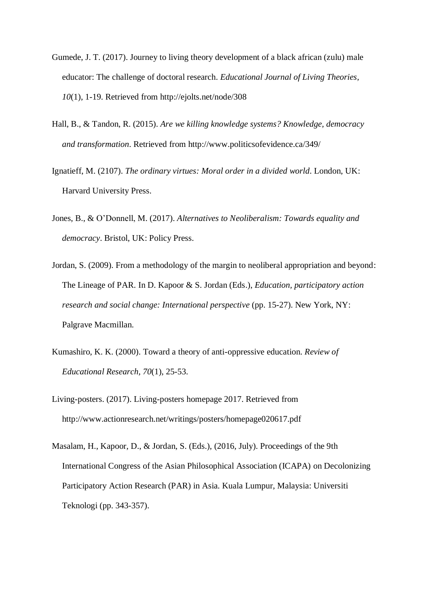- Gumede, J. T. (2017). [Journey to living theory development of a black african \(zulu\) male](http://ejolts.net/node/308)  educator: [The challenge of doctoral research.](http://ejolts.net/node/308) *Educational Journal of Living Theories, 10*(1), 1-19. Retrieved from <http://ejolts.net/node/308>
- Hall, B., & Tandon, R. (2015). *Are we killing knowledge systems? Knowledge, democracy and transformation*. Retrieved from <http://www.politicsofevidence.ca/349/>
- Ignatieff, M. (2107). *The ordinary virtues: Moral order in a divided world*. London, UK: Harvard University Press.
- Jones, B., & O'Donnell, M. (2017). *Alternatives to Neoliberalism: Towards equality and democracy*. Bristol, UK: Policy Press.
- Jordan, S. (2009). From a methodology of the margin to neoliberal appropriation and beyond: The Lineage of PAR. In D. Kapoor & S. Jordan (Eds.), *Education, participatory action research and social change: International perspective* (pp. 15-27). New York, NY: Palgrave Macmillan.
- Kumashiro, K. K. (2000). Toward a theory of anti-oppressive education. *Review of Educational Research, 70*(1), 25-53.
- Living-posters. (2017). Living-posters homepage 2017. Retrieved from <http://www.actionresearch.net/writings/posters/homepage020617.pdf>
- Masalam, H., Kapoor, D., & Jordan, S. (Eds.), (2016, July). Proceedings of the 9th International Congress of the Asian Philosophical Association (ICAPA) on Decolonizing Participatory Action Research (PAR) in Asia. Kuala Lumpur, Malaysia: Universiti Teknologi (pp. 343-357).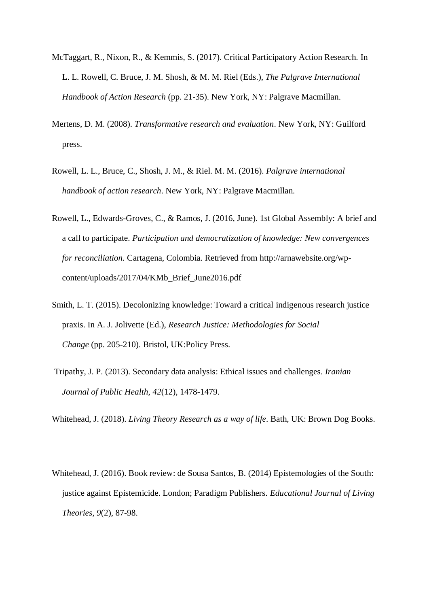- McTaggart, R., Nixon, R., & Kemmis, S. (2017). Critical Participatory Action Research. In L. L. Rowell, C. Bruce, J. M. Shosh, & M. M. Riel (Eds.), *The Palgrave International Handbook of Action Research* (pp. 21-35). New York, NY: Palgrave Macmillan.
- Mertens, D. M. (2008). *Transformative research and evaluation*. New York, NY: Guilford press.
- Rowell, L. L., Bruce, C., Shosh, J. M., & Riel. M. M. (2016). *Palgrave international handbook of action research*. New York, NY: Palgrave Macmillan.
- Rowell, L., Edwards-Groves, C., & Ramos, J. (2016, June). 1st Global Assembly: A brief and a call to participate. *Participation and democratization of knowledge: New convergences for reconciliation.* Cartagena, Colombia. Retrieved from [http://arnawebsite.org/wp](http://arnawebsite.org/wp-content/uploads/2017/04/KMb_Brief_June2016.pdf)[content/uploads/2017/04/KMb\\_Brief\\_June2016.pdf](http://arnawebsite.org/wp-content/uploads/2017/04/KMb_Brief_June2016.pdf)
- Smith, L. T. (2015). Decolonizing knowledge: Toward a critical indigenous research justice praxis. In A. J. Jolivette (Ed.), *Research Justice: Methodologies for Social Change* (pp. 205-210). Bristol, UK:Policy Press*.*
- Tripathy, J. P. (2013). Secondary data analysis: Ethical issues and challenges. *Iranian Journal of Public Health*, *42*(12), 1478-1479.
- Whitehead, J. (2018). *Living Theory Research as a way of life*. Bath, UK: Brown Dog Books.
- Whitehead, J. (2016). Book review: de Sousa Santos, B. (2014) Epistemologies of the South: justice against Epistemicide. London; Paradigm Publishers. *Educational Journal of Living Theories, 9*(2), 87-98.